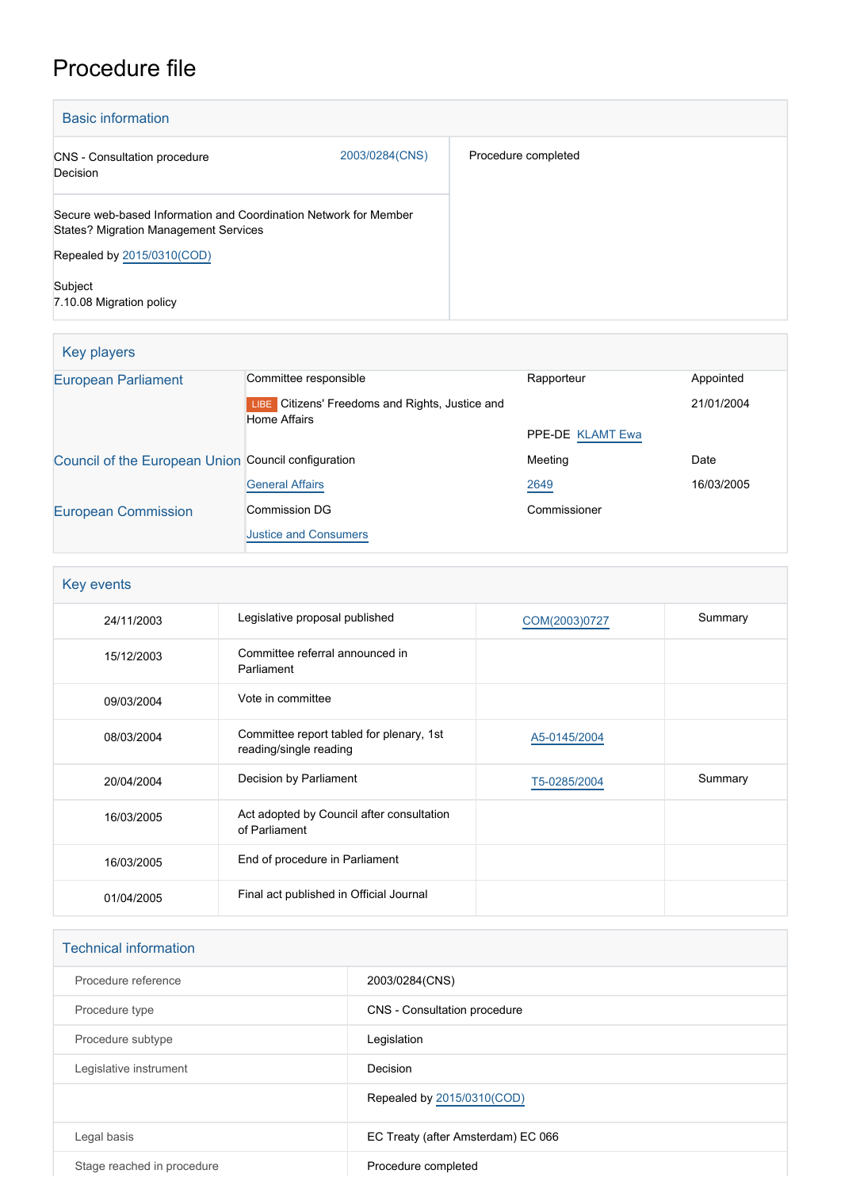## Procedure file

| <b>Basic information</b>                                                                                         |                |                     |  |
|------------------------------------------------------------------------------------------------------------------|----------------|---------------------|--|
| <b>CNS</b> - Consultation procedure<br>Decision                                                                  | 2003/0284(CNS) | Procedure completed |  |
| Secure web-based Information and Coordination Network for Member<br><b>States? Migration Management Services</b> |                |                     |  |
| Repealed by 2015/0310(COD)                                                                                       |                |                     |  |
| Subject<br>7.10.08 Migration policy                                                                              |                |                     |  |

| Key players                                         |                                                                        |                  |            |
|-----------------------------------------------------|------------------------------------------------------------------------|------------------|------------|
| <b>European Parliament</b>                          | Committee responsible                                                  | Rapporteur       | Appointed  |
|                                                     | LIBE Citizens' Freedoms and Rights, Justice and<br><b>Home Affairs</b> |                  | 21/01/2004 |
|                                                     |                                                                        | PPE-DE KLAMT Ewa |            |
| Council of the European Union Council configuration |                                                                        | Meeting          | Date       |
|                                                     | <b>General Affairs</b>                                                 | 2649             | 16/03/2005 |
| <b>European Commission</b>                          | <b>Commission DG</b>                                                   | Commissioner     |            |
|                                                     | <b>Justice and Consumers</b>                                           |                  |            |

| Key events |                                                                    |               |         |  |
|------------|--------------------------------------------------------------------|---------------|---------|--|
| 24/11/2003 | Legislative proposal published                                     | COM(2003)0727 | Summary |  |
| 15/12/2003 | Committee referral announced in<br>Parliament                      |               |         |  |
| 09/03/2004 | Vote in committee                                                  |               |         |  |
| 08/03/2004 | Committee report tabled for plenary, 1st<br>reading/single reading | A5-0145/2004  |         |  |
| 20/04/2004 | Decision by Parliament                                             | T5-0285/2004  | Summary |  |
| 16/03/2005 | Act adopted by Council after consultation<br>of Parliament         |               |         |  |
| 16/03/2005 | End of procedure in Parliament                                     |               |         |  |
| 01/04/2005 | Final act published in Official Journal                            |               |         |  |

| <b>Technical information</b> |                                    |
|------------------------------|------------------------------------|
| Procedure reference          | 2003/0284(CNS)                     |
| Procedure type               | CNS - Consultation procedure       |
| Procedure subtype            | Legislation                        |
| Legislative instrument       | Decision                           |
|                              | Repealed by 2015/0310(COD)         |
| Legal basis                  | EC Treaty (after Amsterdam) EC 066 |
| Stage reached in procedure   | Procedure completed                |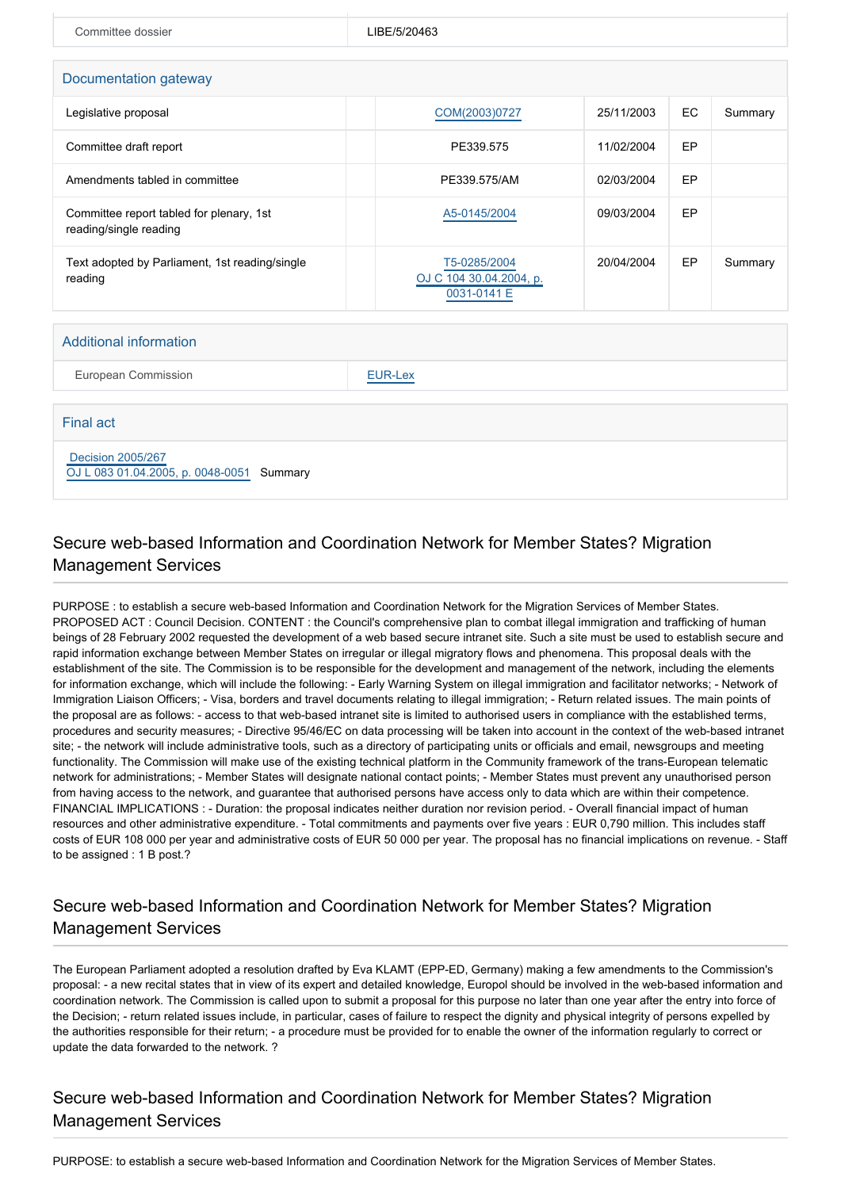| Committee dossier                                                  | LIBE/5/20463                                           |            |    |         |  |  |  |
|--------------------------------------------------------------------|--------------------------------------------------------|------------|----|---------|--|--|--|
| Documentation gateway                                              |                                                        |            |    |         |  |  |  |
| Legislative proposal                                               | COM(2003)0727                                          | 25/11/2003 | EC | Summary |  |  |  |
| Committee draft report                                             | PE339.575                                              | 11/02/2004 | EP |         |  |  |  |
| Amendments tabled in committee                                     | PE339.575/AM                                           | 02/03/2004 | EP |         |  |  |  |
| Committee report tabled for plenary, 1st<br>reading/single reading | A5-0145/2004                                           | 09/03/2004 | EP |         |  |  |  |
| Text adopted by Parliament, 1st reading/single<br>reading          | T5-0285/2004<br>OJ C 104 30.04.2004, p.<br>0031-0141 E | 20/04/2004 | EP | Summary |  |  |  |

European Commission **[EUR-Lex](http://ec.europa.eu/prelex/liste_resultats.cfm?CL=en&ReqId=0&DocType=CNS&DocYear=2003&DocNum=0284)** 

Final act

 [Decision 2005/267](https://eur-lex.europa.eu/smartapi/cgi/sga_doc?smartapi!celexplus!prod!CELEXnumdoc&lg=EN&numdoc=32005D0267) [OJ L 083 01.04.2005, p. 0048-0051](https://eur-lex.europa.eu/legal-content/EN/TXT/?uri=OJ:L:2005:083:TOC) Summary

## Secure web-based Information and Coordination Network for Member States? Migration Management Services

PURPOSE : to establish a secure web-based Information and Coordination Network for the Migration Services of Member States. PROPOSED ACT : Council Decision. CONTENT : the Council's comprehensive plan to combat illegal immigration and trafficking of human beings of 28 February 2002 requested the development of a web based secure intranet site. Such a site must be used to establish secure and rapid information exchange between Member States on irregular or illegal migratory flows and phenomena. This proposal deals with the establishment of the site. The Commission is to be responsible for the development and management of the network, including the elements for information exchange, which will include the following: - Early Warning System on illegal immigration and facilitator networks; - Network of Immigration Liaison Officers; - Visa, borders and travel documents relating to illegal immigration; - Return related issues. The main points of the proposal are as follows: - access to that web-based intranet site is limited to authorised users in compliance with the established terms, procedures and security measures; - Directive 95/46/EC on data processing will be taken into account in the context of the web-based intranet site; - the network will include administrative tools, such as a directory of participating units or officials and email, newsgroups and meeting functionality. The Commission will make use of the existing technical platform in the Community framework of the trans-European telematic network for administrations; - Member States will designate national contact points; - Member States must prevent any unauthorised person from having access to the network, and guarantee that authorised persons have access only to data which are within their competence. FINANCIAL IMPLICATIONS : - Duration: the proposal indicates neither duration nor revision period. - Overall financial impact of human resources and other administrative expenditure. - Total commitments and payments over five years : EUR 0,790 million. This includes staff costs of EUR 108 000 per year and administrative costs of EUR 50 000 per year. The proposal has no financial implications on revenue. - Staff to be assigned : 1 B post.?

## Secure web-based Information and Coordination Network for Member States? Migration Management Services

The European Parliament adopted a resolution drafted by Eva KLAMT (EPP-ED, Germany) making a few amendments to the Commission's proposal: - a new recital states that in view of its expert and detailed knowledge, Europol should be involved in the web-based information and coordination network. The Commission is called upon to submit a proposal for this purpose no later than one year after the entry into force of the Decision; - return related issues include, in particular, cases of failure to respect the dignity and physical integrity of persons expelled by the authorities responsible for their return; - a procedure must be provided for to enable the owner of the information regularly to correct or update the data forwarded to the network. ?

## Secure web-based Information and Coordination Network for Member States? Migration Management Services

PURPOSE: to establish a secure web-based Information and Coordination Network for the Migration Services of Member States.